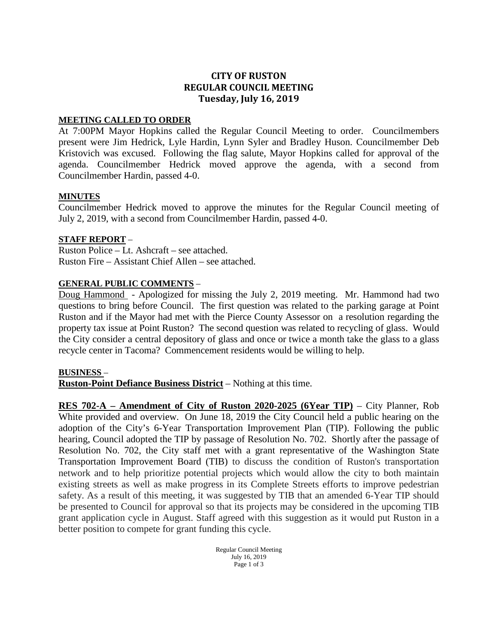# **CITY OF RUSTON REGULAR COUNCIL MEETING Tuesday, July 16, 2019**

#### **MEETING CALLED TO ORDER**

At 7:00PM Mayor Hopkins called the Regular Council Meeting to order. Councilmembers present were Jim Hedrick, Lyle Hardin, Lynn Syler and Bradley Huson. Councilmember Deb Kristovich was excused. Following the flag salute, Mayor Hopkins called for approval of the agenda. Councilmember Hedrick moved approve the agenda, with a second from Councilmember Hardin, passed 4-0.

## **MINUTES**

Councilmember Hedrick moved to approve the minutes for the Regular Council meeting of July 2, 2019, with a second from Councilmember Hardin, passed 4-0.

## **STAFF REPORT** –

Ruston Police – Lt. Ashcraft – see attached. Ruston Fire – Assistant Chief Allen – see attached.

## **GENERAL PUBLIC COMMENTS** –

Doug Hammond - Apologized for missing the July 2, 2019 meeting. Mr. Hammond had two questions to bring before Council. The first question was related to the parking garage at Point Ruston and if the Mayor had met with the Pierce County Assessor on a resolution regarding the property tax issue at Point Ruston? The second question was related to recycling of glass. Would the City consider a central depository of glass and once or twice a month take the glass to a glass recycle center in Tacoma? Commencement residents would be willing to help.

#### **BUSINESS** –

**Ruston-Point Defiance Business District** – Nothing at this time.

**RES 702-A – Amendment of City of Ruston 2020-2025 (6Year TIP)** – City Planner, Rob White provided and overview. On June 18, 2019 the City Council held a public hearing on the adoption of the City's 6-Year Transportation Improvement Plan (TIP). Following the public hearing, Council adopted the TIP by passage of Resolution No. 702. Shortly after the passage of Resolution No. 702, the City staff met with a grant representative of the Washington State Transportation Improvement Board (TIB) to discuss the condition of Ruston's transportation network and to help prioritize potential projects which would allow the city to both maintain existing streets as well as make progress in its Complete Streets efforts to improve pedestrian safety. As a result of this meeting, it was suggested by TIB that an amended 6-Year TIP should be presented to Council for approval so that its projects may be considered in the upcoming TIB grant application cycle in August. Staff agreed with this suggestion as it would put Ruston in a better position to compete for grant funding this cycle.

> Regular Council Meeting July 16, 2019 Page 1 of 3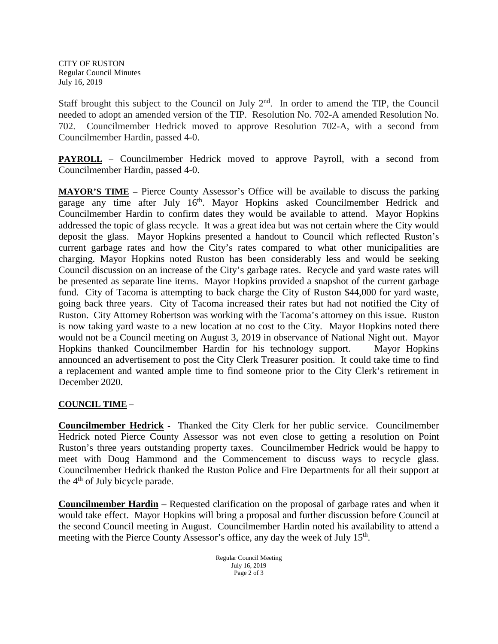CITY OF RUSTON Regular Council Minutes July 16, 2019

Staff brought this subject to the Council on July 2<sup>nd</sup>. In order to amend the TIP, the Council needed to adopt an amended version of the TIP. Resolution No. 702-A amended Resolution No. 702. Councilmember Hedrick moved to approve Resolution 702-A, with a second from Councilmember Hardin, passed 4-0.

**PAYROLL** – Councilmember Hedrick moved to approve Payroll, with a second from Councilmember Hardin, passed 4-0.

**MAYOR'S TIME** – Pierce County Assessor's Office will be available to discuss the parking garage any time after July 16<sup>th</sup>. Mayor Hopkins asked Councilmember Hedrick and Councilmember Hardin to confirm dates they would be available to attend. Mayor Hopkins addressed the topic of glass recycle. It was a great idea but was not certain where the City would deposit the glass. Mayor Hopkins presented a handout to Council which reflected Ruston's current garbage rates and how the City's rates compared to what other municipalities are charging. Mayor Hopkins noted Ruston has been considerably less and would be seeking Council discussion on an increase of the City's garbage rates. Recycle and yard waste rates will be presented as separate line items. Mayor Hopkins provided a snapshot of the current garbage fund. City of Tacoma is attempting to back charge the City of Ruston \$44,000 for yard waste, going back three years. City of Tacoma increased their rates but had not notified the City of Ruston. City Attorney Robertson was working with the Tacoma's attorney on this issue. Ruston is now taking yard waste to a new location at no cost to the City. Mayor Hopkins noted there would not be a Council meeting on August 3, 2019 in observance of National Night out. Mayor Hopkins thanked Councilmember Hardin for his technology support. Mayor Hopkins announced an advertisement to post the City Clerk Treasurer position. It could take time to find a replacement and wanted ample time to find someone prior to the City Clerk's retirement in December 2020.

## **COUNCIL TIME –**

**Councilmember Hedrick -** Thanked the City Clerk for her public service. Councilmember Hedrick noted Pierce County Assessor was not even close to getting a resolution on Point Ruston's three years outstanding property taxes. Councilmember Hedrick would be happy to meet with Doug Hammond and the Commencement to discuss ways to recycle glass. Councilmember Hedrick thanked the Ruston Police and Fire Departments for all their support at the  $4<sup>th</sup>$  of July bicycle parade.

**Councilmember Hardin** – Requested clarification on the proposal of garbage rates and when it would take effect. Mayor Hopkins will bring a proposal and further discussion before Council at the second Council meeting in August. Councilmember Hardin noted his availability to attend a meeting with the Pierce County Assessor's office, any day the week of July 15<sup>th</sup>.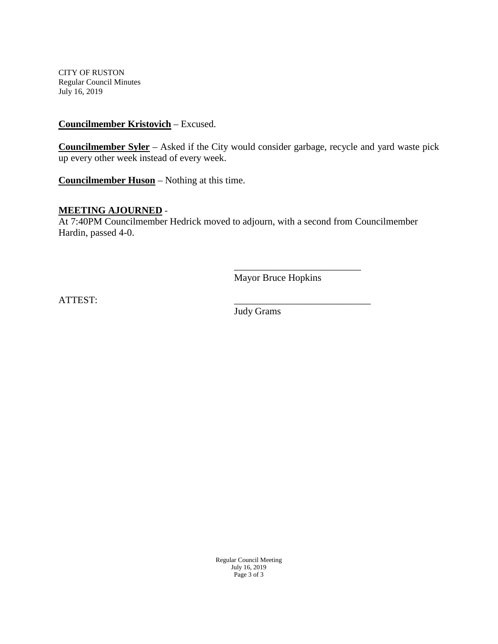CITY OF RUSTON Regular Council Minutes July 16, 2019

## **Councilmember Kristovich** – Excused.

**Councilmember Syler** – Asked if the City would consider garbage, recycle and yard waste pick up every other week instead of every week.

**Councilmember Huson** – Nothing at this time.

#### **MEETING AJOURNED** -

At 7:40PM Councilmember Hedrick moved to adjourn, with a second from Councilmember Hardin, passed 4-0.

> \_\_\_\_\_\_\_\_\_\_\_\_\_\_\_\_\_\_\_\_\_\_\_\_\_\_ Mayor Bruce Hopkins

ATTEST:

Judy Grams

Regular Council Meeting July 16, 2019 Page 3 of 3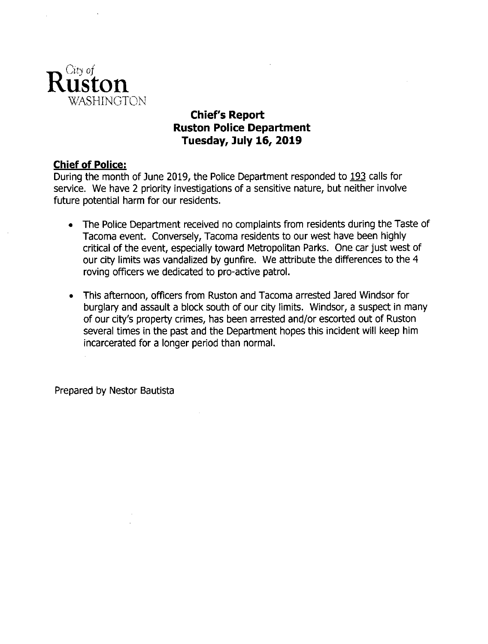

# **Chief's Report Ruston Police Department** Tuesday, July 16, 2019

# **Chief of Police:**

During the month of June 2019, the Police Department responded to 193 calls for service. We have 2 priority investigations of a sensitive nature, but neither involve future potential harm for our residents.

- The Police Department received no complaints from residents during the Taste of  $\bullet$ Tacoma event. Conversely, Tacoma residents to our west have been highly critical of the event, especially toward Metropolitan Parks. One car just west of our city limits was vandalized by gunfire. We attribute the differences to the 4 roving officers we dedicated to pro-active patrol.
- This afternoon, officers from Ruston and Tacoma arrested Jared Windsor for  $\bullet$ burglary and assault a block south of our city limits. Windsor, a suspect in many of our city's property crimes, has been arrested and/or escorted out of Ruston several times in the past and the Department hopes this incident will keep him incarcerated for a longer period than normal.

Prepared by Nestor Bautista